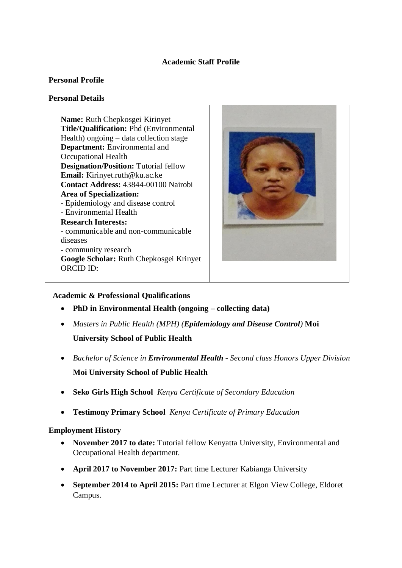# **Academic Staff Profile**

### **Personal Profile**

#### **Personal Details**

**Name:** Ruth Chepkosgei Kirinyet **Title/Qualification:** Phd (Environmental Health) ongoing – data collection stage **Department:** Environmental and Occupational Health **Designation/Position:** Tutorial fellow **Email:** Kirinyet.ruth@ku.ac.ke **Contact Address:** 43844-00100 Nairobi **Area of Specialization:** - Epidemiology and disease control - Environmental Health **Research Interests:** - communicable and non-communicable diseases - community research **Google Scholar:** Ruth Chepkosgei Krinyet ORCID ID:



## **Academic & Professional Qualifications**

- **PhD in Environmental Health (ongoing – collecting data)**
- *Masters in Public Health (MPH) (Epidemiology and Disease Control)* **Moi University School of Public Health**
- *Bachelor of Science in Environmental Health - Second class Honors Upper Division*  **Moi University School of Public Health**
- **Seko Girls High School** *Kenya Certificate of Secondary Education*
- **Testimony Primary School** *Kenya Certificate of Primary Education*

## **Employment History**

- **November 2017 to date:** Tutorial fellow Kenyatta University, Environmental and Occupational Health department.
- **April 2017 to November 2017:** Part time Lecturer Kabianga University
- **September 2014 to April 2015:** Part time Lecturer at Elgon View College, Eldoret Campus.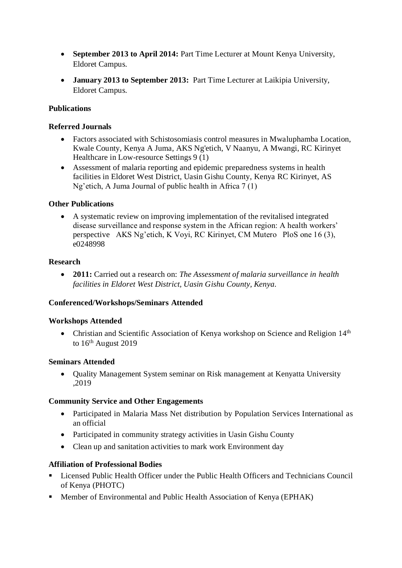- **September 2013 to April 2014:** Part Time Lecturer at Mount Kenya University, Eldoret Campus.
- **January 2013 to September 2013:** Part Time Lecturer at Laikipia University, Eldoret Campus.

# **Publications**

## **Referred Journals**

- [Factors associated with Schistosomiasis control measures in Mwaluphamba Location,](javascript:void(0))  [Kwale County, Kenya](javascript:void(0)) A Juma, AKS Ng'etich, V Naanyu, A Mwangi, RC Kirinyet Healthcare in Low-resource Settings 9 (1)
- [Assessment of malaria reporting and epidemic preparedness systems in health](javascript:void(0))  facilities [in Eldoret West District, Uasin Gishu County, Kenya](javascript:void(0)) RC Kirinyet, AS Ng'etich, A Juma Journal of public health in Africa 7 (1)

### **Other Publications**

 [A systematic review on improving implementation of the revitalised integrated](javascript:void(0))  [disease surveillance and response system in the African region: A health workers'](javascript:void(0))  [perspective](javascript:void(0)) AKS Ng'etich, K Voyi, RC Kirinyet, CM Mutero PloS one 16 (3), e0248998

### **Research**

 **2011:** Carried out a research on: *The Assessment of malaria surveillance in health facilities in Eldoret West District, Uasin Gishu County, Kenya.*

## **Conferenced/Workshops/Seminars Attended**

#### **Workshops Attended**

• Christian and Scientific Association of Kenya workshop on Science and Religion 14<sup>th</sup> to 16<sup>th</sup> August 2019

#### **Seminars Attended**

 Quality Management System seminar on Risk management at Kenyatta University ,2019

#### **Community Service and Other Engagements**

- Participated in Malaria Mass Net distribution by Population Services International as an official
- Participated in community strategy activities in Uasin Gishu County
- Clean up and sanitation activities to mark work Environment day

## **Affiliation of Professional Bodies**

- Licensed Public Health Officer under the Public Health Officers and Technicians Council of Kenya (PHOTC)
- **Member of Environmental and Public Health Association of Kenya (EPHAK)**